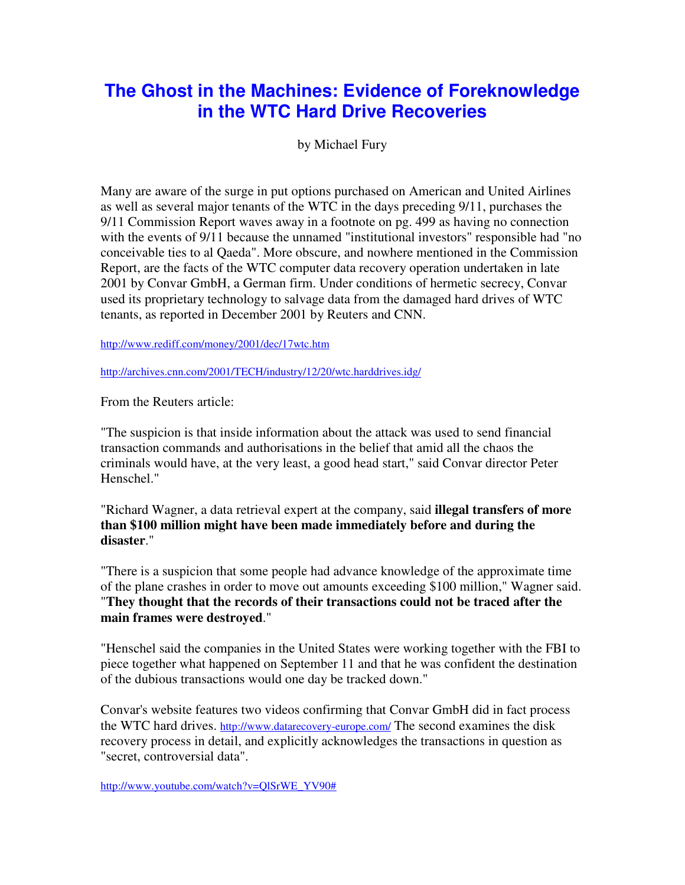## **The Ghost in the Machines: Evidence of Foreknowledge in the WTC Hard Drive Recoveries**

by Michael Fury

Many are aware of the surge in put options purchased on American and United Airlines as well as several major tenants of the WTC in the days preceding 9/11, purchases the 9/11 Commission Report waves away in a footnote on pg. 499 as having no connection with the events of 9/11 because the unnamed "institutional investors" responsible had "no conceivable ties to al Qaeda". More obscure, and nowhere mentioned in the Commission Report, are the facts of the WTC computer data recovery operation undertaken in late 2001 by Convar GmbH, a German firm. Under conditions of hermetic secrecy, Convar used its proprietary technology to salvage data from the damaged hard drives of WTC tenants, as reported in December 2001 by Reuters and CNN.

http://www.rediff.com/money/2001/dec/17wtc.htm

http://archives.cnn.com/2001/TECH/industry/12/20/wtc.harddrives.idg/

From the Reuters article:

"The suspicion is that inside information about the attack was used to send financial transaction commands and authorisations in the belief that amid all the chaos the criminals would have, at the very least, a good head start," said Convar director Peter Henschel."

"Richard Wagner, a data retrieval expert at the company, said **illegal transfers of more than \$100 million might have been made immediately before and during the disaster**."

"There is a suspicion that some people had advance knowledge of the approximate time of the plane crashes in order to move out amounts exceeding \$100 million," Wagner said. "**They thought that the records of their transactions could not be traced after the main frames were destroyed**."

"Henschel said the companies in the United States were working together with the FBI to piece together what happened on September 11 and that he was confident the destination of the dubious transactions would one day be tracked down."

Convar's website features two videos confirming that Convar GmbH did in fact process the WTC hard drives. http://www.datarecovery-europe.com/ The second examines the disk recovery process in detail, and explicitly acknowledges the transactions in question as "secret, controversial data".

http://www.youtube.com/watch?v=QlSrWE\_YV90#